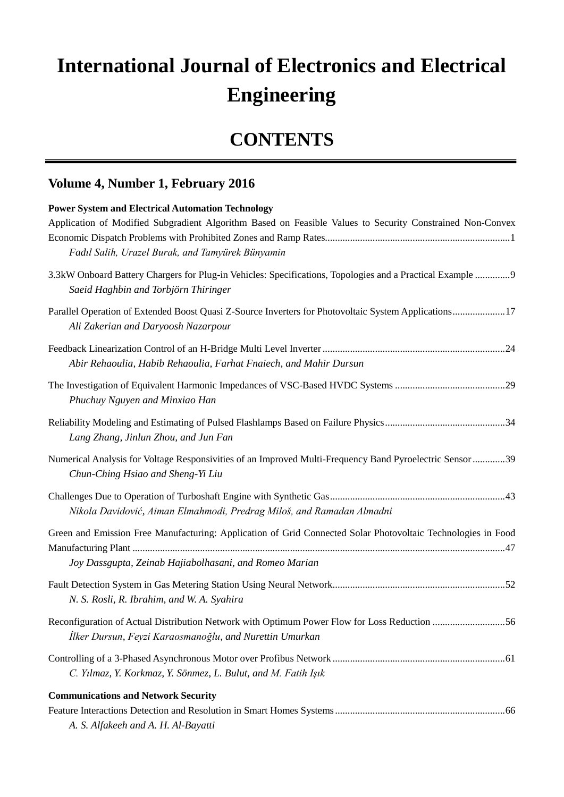## **International Journal of Electronics and Electrical Engineering**

## **CONTENTS**

## **Volume 4, Number 1, February 2016**

| <b>Power System and Electrical Automation Technology</b>                                                                                                |  |
|---------------------------------------------------------------------------------------------------------------------------------------------------------|--|
| Application of Modified Subgradient Algorithm Based on Feasible Values to Security Constrained Non-Convex                                               |  |
| Fadıl Salih, Urazel Burak, and Tamyürek Bünyamin                                                                                                        |  |
| 3.3kW Onboard Battery Chargers for Plug-in Vehicles: Specifications, Topologies and a Practical Example 9<br>Saeid Haghbin and Torbjörn Thiringer       |  |
| Parallel Operation of Extended Boost Quasi Z-Source Inverters for Photovoltaic System Applications17<br>Ali Zakerian and Daryoosh Nazarpour             |  |
| Abir Rehaoulia, Habib Rehaoulia, Farhat Fnaiech, and Mahir Dursun                                                                                       |  |
| Phuchuy Nguyen and Minxiao Han                                                                                                                          |  |
| Lang Zhang, Jinlun Zhou, and Jun Fan                                                                                                                    |  |
| Numerical Analysis for Voltage Responsivities of an Improved Multi-Frequency Band Pyroelectric Sensor 39<br>Chun-Ching Hsiao and Sheng-Yi Liu           |  |
| Nikola Davidović, Aiman Elmahmodi, Predrag Miloš, and Ramadan Almadni                                                                                   |  |
| Green and Emission Free Manufacturing: Application of Grid Connected Solar Photovoltaic Technologies in Food                                            |  |
| Joy Dassgupta, Zeinab Hajiabolhasani, and Romeo Marian                                                                                                  |  |
| N. S. Rosli, R. Ibrahim, and W. A. Syahira                                                                                                              |  |
| Reconfiguration of Actual Distribution Network with Optimum Power Flow for Loss Reduction 56<br>İlker Dursun, Feyzi Karaosmanoğlu, and Nurettin Umurkan |  |
| C. Yılmaz, Y. Korkmaz, Y. Sönmez, L. Bulut, and M. Fatih Işık                                                                                           |  |
| <b>Communications and Network Security</b><br>A. S. Alfakeeh and A. H. Al-Bayatti                                                                       |  |